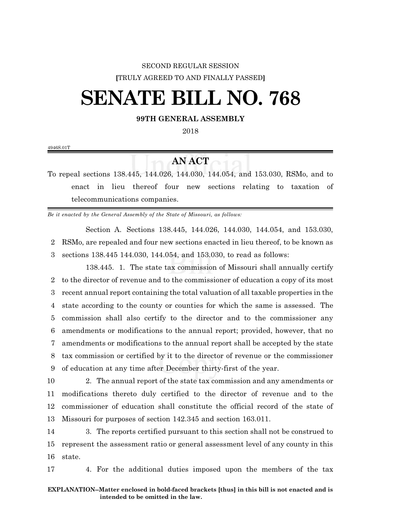### SECOND REGULAR SESSION **[**TRULY AGREED TO AND FINALLY PASSED**]**

# **SENATE BILL NO. 768**

#### **99TH GENERAL ASSEMBLY**

2018

4946S.01T

## **AN ACT**

To repeal sections 138.445, 144.026, 144.030, 144.054, and 153.030, RSMo, and to enact in lieu thereof four new sections relating to taxation of telecommunications companies.

*Be it enacted by the General Assembly of the State of Missouri, as follows:*

Section A. Sections 138.445, 144.026, 144.030, 144.054, and 153.030, 2 RSMo, are repealed and four new sections enacted in lieu thereof, to be known as 3 sections 138.445 144.030, 144.054, and 153.030, to read as follows:

138.445. 1. The state tax commission of Missouri shall annually certify to the director of revenue and to the commissioner of education a copy of its most recent annual report containing the total valuation of all taxable properties in the state according to the county or counties for which the same is assessed. The commission shall also certify to the director and to the commissioner any amendments or modifications to the annual report; provided, however, that no amendments or modifications to the annual report shall be accepted by the state tax commission or certified by it to the director of revenue or the commissioner of education at any time after December thirty-first of the year.

 2. The annual report of the state tax commission and any amendments or modifications thereto duly certified to the director of revenue and to the commissioner of education shall constitute the official record of the state of Missouri for purposes of section 142.345 and section 163.011.

14 3. The reports certified pursuant to this section shall not be construed to 15 represent the assessment ratio or general assessment level of any county in this 16 state.

17 4. For the additional duties imposed upon the members of the tax

#### **EXPLANATION--Matter enclosed in bold-faced brackets [thus] in this bill is not enacted and is intended to be omitted in the law.**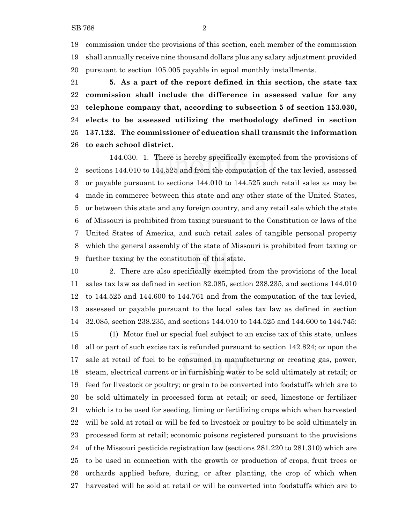commission under the provisions of this section, each member of the commission shall annually receive nine thousand dollars plus any salary adjustment provided pursuant to section 105.005 payable in equal monthly installments.

 **5. As a part of the report defined in this section, the state tax commission shall include the difference in assessed value for any telephone company that, according to subsection 5 of section 153.030, elects to be assessed utilizing the methodology defined in section 137.122. The commissioner of education shall transmit the information to each school district.**

144.030. 1. There is hereby specifically exempted from the provisions of sections 144.010 to 144.525 and from the computation of the tax levied, assessed or payable pursuant to sections 144.010 to 144.525 such retail sales as may be made in commerce between this state and any other state of the United States, or between this state and any foreign country, and any retail sale which the state of Missouri is prohibited from taxing pursuant to the Constitution or laws of the United States of America, and such retail sales of tangible personal property which the general assembly of the state of Missouri is prohibited from taxing or further taxing by the constitution of this state.

 2. There are also specifically exempted from the provisions of the local sales tax law as defined in section 32.085, section 238.235, and sections 144.010 to 144.525 and 144.600 to 144.761 and from the computation of the tax levied, assessed or payable pursuant to the local sales tax law as defined in section 32.085, section 238.235, and sections 144.010 to 144.525 and 144.600 to 144.745: (1) Motor fuel or special fuel subject to an excise tax of this state, unless all or part of such excise tax is refunded pursuant to section 142.824; or upon the sale at retail of fuel to be consumed in manufacturing or creating gas, power, steam, electrical current or in furnishing water to be sold ultimately at retail; or feed for livestock or poultry; or grain to be converted into foodstuffs which are to be sold ultimately in processed form at retail; or seed, limestone or fertilizer which is to be used for seeding, liming or fertilizing crops which when harvested will be sold at retail or will be fed to livestock or poultry to be sold ultimately in processed form at retail; economic poisons registered pursuant to the provisions of the Missouri pesticide registration law (sections 281.220 to 281.310) which are to be used in connection with the growth or production of crops, fruit trees or orchards applied before, during, or after planting, the crop of which when harvested will be sold at retail or will be converted into foodstuffs which are to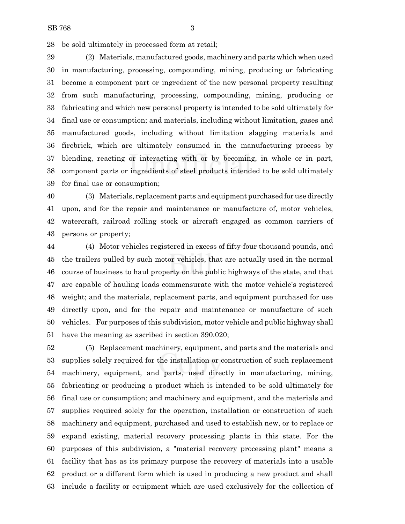be sold ultimately in processed form at retail;

 (2) Materials, manufactured goods, machinery and parts which when used in manufacturing, processing, compounding, mining, producing or fabricating become a component part or ingredient of the new personal property resulting from such manufacturing, processing, compounding, mining, producing or fabricating and which new personal property is intended to be sold ultimately for final use or consumption; and materials, including without limitation, gases and manufactured goods, including without limitation slagging materials and firebrick, which are ultimately consumed in the manufacturing process by blending, reacting or interacting with or by becoming, in whole or in part, component parts or ingredients of steel products intended to be sold ultimately for final use or consumption;

 (3) Materials, replacement parts and equipment purchased for use directly upon, and for the repair and maintenance or manufacture of, motor vehicles, watercraft, railroad rolling stock or aircraft engaged as common carriers of persons or property;

 (4) Motor vehicles registered in excess of fifty-four thousand pounds, and the trailers pulled by such motor vehicles, that are actually used in the normal course of business to haul property on the public highways of the state, and that are capable of hauling loads commensurate with the motor vehicle's registered weight; and the materials, replacement parts, and equipment purchased for use directly upon, and for the repair and maintenance or manufacture of such vehicles. For purposes ofthis subdivision, motor vehicle and public highway shall have the meaning as ascribed in section 390.020;

 (5) Replacement machinery, equipment, and parts and the materials and supplies solely required for the installation or construction of such replacement machinery, equipment, and parts, used directly in manufacturing, mining, fabricating or producing a product which is intended to be sold ultimately for final use or consumption; and machinery and equipment, and the materials and supplies required solely for the operation, installation or construction of such machinery and equipment, purchased and used to establish new, or to replace or expand existing, material recovery processing plants in this state. For the purposes of this subdivision, a "material recovery processing plant" means a facility that has as its primary purpose the recovery of materials into a usable product or a different form which is used in producing a new product and shall include a facility or equipment which are used exclusively for the collection of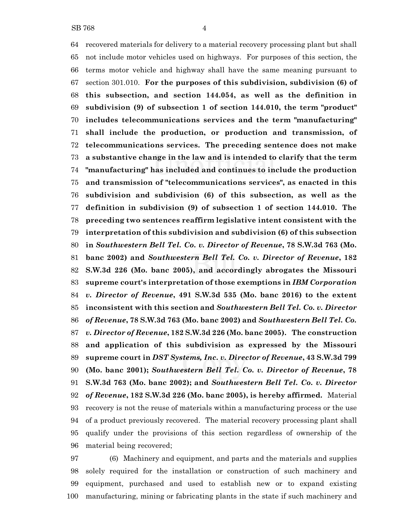recovered materials for delivery to a material recovery processing plant but shall not include motor vehicles used on highways. For purposes of this section, the terms motor vehicle and highway shall have the same meaning pursuant to section 301.010. **For the purposes of this subdivision, subdivision (6) of this subsection, and section 144.054, as well as the definition in subdivision (9) of subsection 1 of section 144.010, the term "product" includes telecommunications services and the term "manufacturing" shall include the production, or production and transmission, of telecommunications services. The preceding sentence does not make a substantive change in the law and is intended to clarify that the term "manufacturing" has included and continues to include the production and transmission of "telecommunications services", as enacted in this subdivision and subdivision (6) of this subsection, as well as the definition in subdivision (9) of subsection 1 of section 144.010. The preceding two sentences reaffirm legislative intent consistent with the interpretation of this subdivision and subdivision (6) of this subsection in** *Southwestern Bell Tel. Co. v. Director of Revenue***, 78 S.W.3d 763 (Mo. banc 2002) and** *Southwestern Bell Tel. Co. v. Director of Revenue***, 182 S.W.3d 226 (Mo. banc 2005), and accordingly abrogates the Missouri supreme court's interpretation of those exemptions in** *IBM Corporation v. Director of Revenue***, 491 S.W.3d 535 (Mo. banc 2016) to the extent inconsistent with this section and** *Southwestern Bell Tel. Co. v. Director of Revenue***, 78 S.W.3d 763 (Mo. banc 2002) and** *Southwestern Bell Tel. Co. v. Director of Revenue***, 182 S.W.3d 226 (Mo. banc 2005). The construction and application of this subdivision as expressed by the Missouri supreme court in** *DST Systems, Inc. v. Director of Revenue***, 43 S.W.3d 799 (Mo. banc 2001);** *Southwestern Bell Tel. Co. v. Director of Revenue***, 78 S.W.3d 763 (Mo. banc 2002); and** *Southwestern Bell Tel. Co. v. Director of Revenue***, 182 S.W.3d 226 (Mo. banc 2005), is hereby affirmed.** Material recovery is not the reuse of materials within a manufacturing process or the use of a product previously recovered. The material recovery processing plant shall qualify under the provisions of this section regardless of ownership of the material being recovered;

 (6) Machinery and equipment, and parts and the materials and supplies solely required for the installation or construction of such machinery and equipment, purchased and used to establish new or to expand existing manufacturing, mining or fabricating plants in the state if such machinery and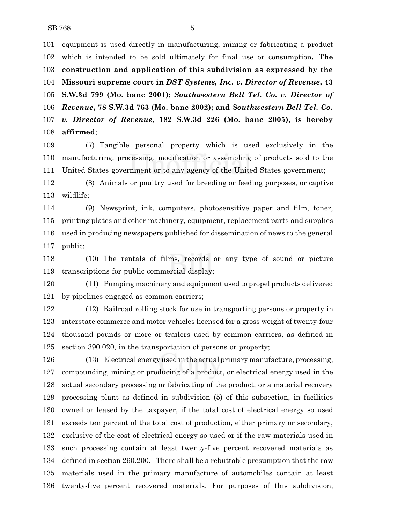equipment is used directly in manufacturing, mining or fabricating a product which is intended to be sold ultimately for final use or consumption**. The construction and application of this subdivision as expressed by the Missouri supreme court in** *DST Systems, Inc. v. Director of Revenue***, 43 S.W.3d 799 (Mo. banc 2001);** *Southwestern Bell Tel. Co. v. Director of Revenue***, 78 S.W.3d 763 (Mo. banc 2002); and** *Southwestern Bell Tel. Co. v. Director of Revenue***, 182 S.W.3d 226 (Mo. banc 2005), is hereby affirmed**;

 (7) Tangible personal property which is used exclusively in the manufacturing, processing, modification or assembling of products sold to the United States government or to any agency of the United States government;

 (8) Animals or poultry used for breeding or feeding purposes, or captive wildlife;

 (9) Newsprint, ink, computers, photosensitive paper and film, toner, printing plates and other machinery, equipment, replacement parts and supplies used in producing newspapers published for dissemination of news to the general public;

 (10) The rentals of films, records or any type of sound or picture transcriptions for public commercial display;

 (11) Pumping machinery and equipment used to propel products delivered by pipelines engaged as common carriers;

 (12) Railroad rolling stock for use in transporting persons or property in interstate commerce and motor vehicles licensed for a gross weight of twenty-four thousand pounds or more or trailers used by common carriers, as defined in section 390.020, in the transportation of persons or property;

 (13) Electrical energy used in the actual primary manufacture, processing, compounding, mining or producing of a product, or electrical energy used in the actual secondary processing or fabricating of the product, or a material recovery processing plant as defined in subdivision (5) of this subsection, in facilities owned or leased by the taxpayer, if the total cost of electrical energy so used exceeds ten percent of the total cost of production, either primary or secondary, exclusive of the cost of electrical energy so used or if the raw materials used in such processing contain at least twenty-five percent recovered materials as defined in section 260.200. There shall be a rebuttable presumption that the raw materials used in the primary manufacture of automobiles contain at least twenty-five percent recovered materials. For purposes of this subdivision,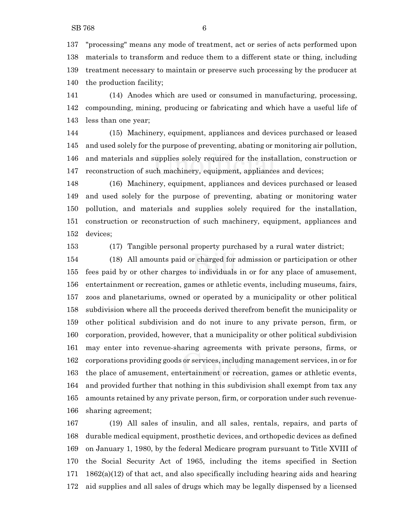"processing" means any mode of treatment, act or series of acts performed upon materials to transform and reduce them to a different state or thing, including treatment necessary to maintain or preserve such processing by the producer at the production facility;

 (14) Anodes which are used or consumed in manufacturing, processing, compounding, mining, producing or fabricating and which have a useful life of less than one year;

 (15) Machinery, equipment, appliances and devices purchased or leased and used solely for the purpose of preventing, abating or monitoring air pollution, and materials and supplies solely required for the installation, construction or reconstruction of such machinery, equipment, appliances and devices;

 (16) Machinery, equipment, appliances and devices purchased or leased and used solely for the purpose of preventing, abating or monitoring water pollution, and materials and supplies solely required for the installation, construction or reconstruction of such machinery, equipment, appliances and devices;

(17) Tangible personal property purchased by a rural water district;

 (18) All amounts paid or charged for admission or participation or other fees paid by or other charges to individuals in or for any place of amusement, entertainment or recreation, games or athletic events, including museums, fairs, zoos and planetariums, owned or operated by a municipality or other political subdivision where all the proceeds derived therefrom benefit the municipality or other political subdivision and do not inure to any private person, firm, or corporation, provided, however, that a municipality or other political subdivision may enter into revenue-sharing agreements with private persons, firms, or corporations providing goods or services, including management services, in or for the place of amusement, entertainment or recreation, games or athletic events, and provided further that nothing in this subdivision shall exempt from tax any amounts retained by any private person, firm, or corporation under such revenue-sharing agreement;

 (19) All sales of insulin, and all sales, rentals, repairs, and parts of durable medical equipment, prosthetic devices, and orthopedic devices as defined on January 1, 1980, by the federal Medicare program pursuant to Title XVIII of the Social Security Act of 1965, including the items specified in Section  $171 \quad 1862(a)(12)$  of that act, and also specifically including hearing aids and hearing aid supplies and all sales of drugs which may be legally dispensed by a licensed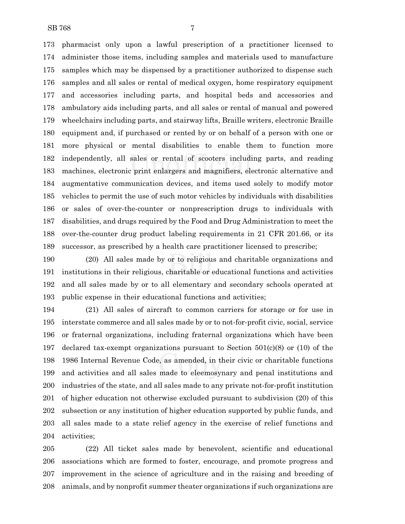pharmacist only upon a lawful prescription of a practitioner licensed to administer those items, including samples and materials used to manufacture samples which may be dispensed by a practitioner authorized to dispense such samples and all sales or rental of medical oxygen, home respiratory equipment and accessories including parts, and hospital beds and accessories and ambulatory aids including parts, and all sales or rental of manual and powered wheelchairs including parts, and stairway lifts, Braille writers, electronic Braille equipment and, if purchased or rented by or on behalf of a person with one or more physical or mental disabilities to enable them to function more independently, all sales or rental of scooters including parts, and reading machines, electronic print enlargers and magnifiers, electronic alternative and augmentative communication devices, and items used solely to modify motor vehicles to permit the use of such motor vehicles by individuals with disabilities or sales of over-the-counter or nonprescription drugs to individuals with disabilities, and drugs required by the Food and Drug Administration to meet the over-the-counter drug product labeling requirements in 21 CFR 201.66, or its successor, as prescribed by a health care practitioner licensed to prescribe;

 (20) All sales made by or to religious and charitable organizations and institutions in their religious, charitable or educational functions and activities and all sales made by or to all elementary and secondary schools operated at public expense in their educational functions and activities;

 (21) All sales of aircraft to common carriers for storage or for use in interstate commerce and all sales made by or to not-for-profit civic, social, service or fraternal organizations, including fraternal organizations which have been 197 declared tax-exempt organizations pursuant to Section  $501(c)(8)$  or (10) of the 1986 Internal Revenue Code, as amended, in their civic or charitable functions and activities and all sales made to eleemosynary and penal institutions and industries of the state, and all sales made to any private not-for-profit institution of higher education not otherwise excluded pursuant to subdivision (20) of this subsection or any institution of higher education supported by public funds, and all sales made to a state relief agency in the exercise of relief functions and activities;

 (22) All ticket sales made by benevolent, scientific and educational associations which are formed to foster, encourage, and promote progress and improvement in the science of agriculture and in the raising and breeding of animals, and by nonprofit summer theater organizations if such organizations are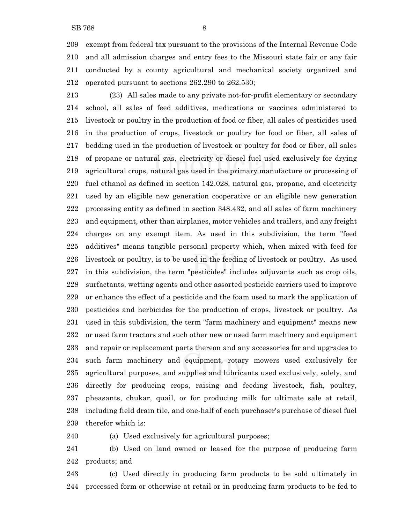exempt from federal tax pursuant to the provisions of the Internal Revenue Code and all admission charges and entry fees to the Missouri state fair or any fair conducted by a county agricultural and mechanical society organized and operated pursuant to sections 262.290 to 262.530;

 (23) All sales made to any private not-for-profit elementary or secondary school, all sales of feed additives, medications or vaccines administered to livestock or poultry in the production of food or fiber, all sales of pesticides used in the production of crops, livestock or poultry for food or fiber, all sales of bedding used in the production of livestock or poultry for food or fiber, all sales of propane or natural gas, electricity or diesel fuel used exclusively for drying agricultural crops, natural gas used in the primary manufacture or processing of fuel ethanol as defined in section 142.028, natural gas, propane, and electricity used by an eligible new generation cooperative or an eligible new generation processing entity as defined in section 348.432, and all sales of farm machinery and equipment, other than airplanes, motor vehicles and trailers, and any freight charges on any exempt item. As used in this subdivision, the term "feed additives" means tangible personal property which, when mixed with feed for livestock or poultry, is to be used in the feeding of livestock or poultry. As used in this subdivision, the term "pesticides" includes adjuvants such as crop oils, surfactants, wetting agents and other assorted pesticide carriers used to improve or enhance the effect of a pesticide and the foam used to mark the application of pesticides and herbicides for the production of crops, livestock or poultry. As used in this subdivision, the term "farm machinery and equipment" means new or used farm tractors and such other new or used farm machinery and equipment and repair or replacement parts thereon and any accessories for and upgrades to such farm machinery and equipment, rotary mowers used exclusively for agricultural purposes, and supplies and lubricants used exclusively, solely, and directly for producing crops, raising and feeding livestock, fish, poultry, pheasants, chukar, quail, or for producing milk for ultimate sale at retail, including field drain tile, and one-half of each purchaser's purchase of diesel fuel therefor which is:

(a) Used exclusively for agricultural purposes;

 (b) Used on land owned or leased for the purpose of producing farm products; and

 (c) Used directly in producing farm products to be sold ultimately in processed form or otherwise at retail or in producing farm products to be fed to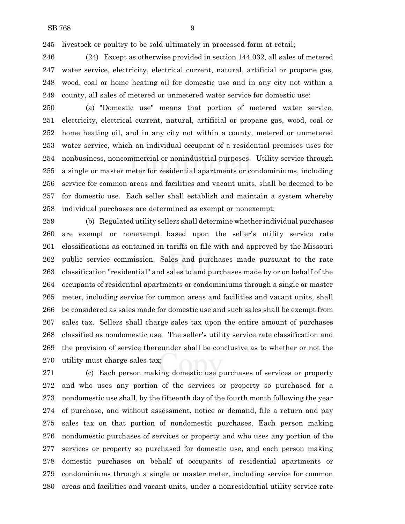livestock or poultry to be sold ultimately in processed form at retail;

 (24) Except as otherwise provided in section 144.032, all sales of metered water service, electricity, electrical current, natural, artificial or propane gas, wood, coal or home heating oil for domestic use and in any city not within a county, all sales of metered or unmetered water service for domestic use:

 (a) "Domestic use" means that portion of metered water service, electricity, electrical current, natural, artificial or propane gas, wood, coal or home heating oil, and in any city not within a county, metered or unmetered water service, which an individual occupant of a residential premises uses for nonbusiness, noncommercial or nonindustrial purposes. Utility service through a single or master meter for residential apartments or condominiums, including service for common areas and facilities and vacant units, shall be deemed to be for domestic use. Each seller shall establish and maintain a system whereby individual purchases are determined as exempt or nonexempt;

 (b) Regulated utility sellers shall determine whether individual purchases are exempt or nonexempt based upon the seller's utility service rate classifications as contained in tariffs on file with and approved by the Missouri public service commission. Sales and purchases made pursuant to the rate classification "residential" and sales to and purchases made by or on behalf of the occupants of residential apartments or condominiums through a single or master meter, including service for common areas and facilities and vacant units, shall be considered as sales made for domestic use and such sales shall be exempt from sales tax. Sellers shall charge sales tax upon the entire amount of purchases classified as nondomestic use. The seller's utility service rate classification and the provision of service thereunder shall be conclusive as to whether or not the utility must charge sales tax;

 (c) Each person making domestic use purchases of services or property and who uses any portion of the services or property so purchased for a nondomestic use shall, by the fifteenth day of the fourth month following the year of purchase, and without assessment, notice or demand, file a return and pay sales tax on that portion of nondomestic purchases. Each person making nondomestic purchases of services or property and who uses any portion of the services or property so purchased for domestic use, and each person making domestic purchases on behalf of occupants of residential apartments or condominiums through a single or master meter, including service for common areas and facilities and vacant units, under a nonresidential utility service rate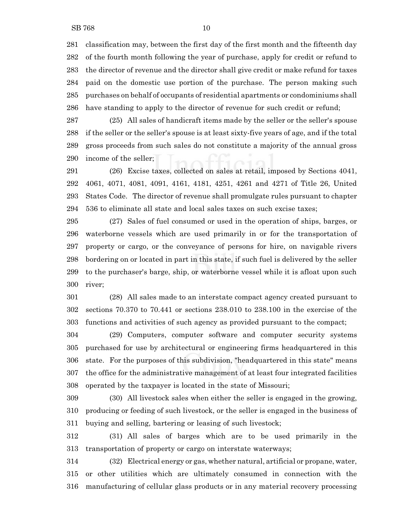classification may, between the first day of the first month and the fifteenth day of the fourth month following the year of purchase, apply for credit or refund to the director of revenue and the director shall give credit or make refund for taxes paid on the domestic use portion of the purchase. The person making such purchases on behalf of occupants of residential apartments or condominiums shall have standing to apply to the director of revenue for such credit or refund;

 (25) All sales of handicraft items made by the seller or the seller's spouse if the seller or the seller's spouse is at least sixty-five years of age, and if the total gross proceeds from such sales do not constitute a majority of the annual gross income of the seller;

 (26) Excise taxes, collected on sales at retail, imposed by Sections 4041, 4061, 4071, 4081, 4091, 4161, 4181, 4251, 4261 and 4271 of Title 26, United States Code. The director of revenue shall promulgate rules pursuant to chapter 536 to eliminate all state and local sales taxes on such excise taxes;

 (27) Sales of fuel consumed or used in the operation of ships, barges, or waterborne vessels which are used primarily in or for the transportation of property or cargo, or the conveyance of persons for hire, on navigable rivers bordering on or located in part in this state, if such fuel is delivered by the seller to the purchaser's barge, ship, or waterborne vessel while it is afloat upon such river;

 (28) All sales made to an interstate compact agency created pursuant to sections 70.370 to 70.441 or sections 238.010 to 238.100 in the exercise of the functions and activities of such agency as provided pursuant to the compact;

 (29) Computers, computer software and computer security systems purchased for use by architectural or engineering firms headquartered in this state. For the purposes of this subdivision, "headquartered in this state" means the office for the administrative management of at least four integrated facilities operated by the taxpayer is located in the state of Missouri;

 (30) All livestock sales when either the seller is engaged in the growing, producing or feeding of such livestock, or the seller is engaged in the business of buying and selling, bartering or leasing of such livestock;

 (31) All sales of barges which are to be used primarily in the transportation of property or cargo on interstate waterways;

 (32) Electrical energy or gas, whether natural, artificial or propane, water, or other utilities which are ultimately consumed in connection with the manufacturing of cellular glass products or in any material recovery processing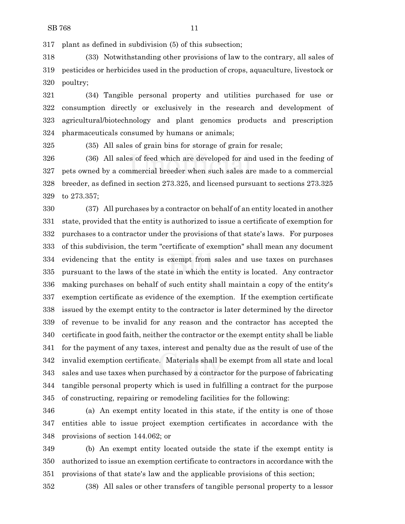plant as defined in subdivision (5) of this subsection;

 (33) Notwithstanding other provisions of law to the contrary, all sales of pesticides or herbicides used in the production of crops, aquaculture, livestock or poultry;

 (34) Tangible personal property and utilities purchased for use or consumption directly or exclusively in the research and development of agricultural/biotechnology and plant genomics products and prescription pharmaceuticals consumed by humans or animals;

(35) All sales of grain bins for storage of grain for resale;

 (36) All sales of feed which are developed for and used in the feeding of pets owned by a commercial breeder when such sales are made to a commercial breeder, as defined in section 273.325, and licensed pursuant to sections 273.325 to 273.357;

 (37) All purchases by a contractor on behalf of an entity located in another state, provided that the entity is authorized to issue a certificate of exemption for purchases to a contractor under the provisions of that state's laws. For purposes of this subdivision, the term "certificate of exemption" shall mean any document evidencing that the entity is exempt from sales and use taxes on purchases pursuant to the laws of the state in which the entity is located. Any contractor making purchases on behalf of such entity shall maintain a copy of the entity's exemption certificate as evidence of the exemption. If the exemption certificate issued by the exempt entity to the contractor is later determined by the director of revenue to be invalid for any reason and the contractor has accepted the certificate in good faith, neither the contractor or the exempt entity shall be liable for the payment of any taxes, interest and penalty due as the result of use of the invalid exemption certificate. Materials shall be exempt from all state and local sales and use taxes when purchased by a contractor for the purpose of fabricating tangible personal property which is used in fulfilling a contract for the purpose of constructing, repairing or remodeling facilities for the following:

 (a) An exempt entity located in this state, if the entity is one of those entities able to issue project exemption certificates in accordance with the provisions of section 144.062; or

 (b) An exempt entity located outside the state if the exempt entity is authorized to issue an exemption certificate to contractors in accordance with the provisions of that state's law and the applicable provisions of this section;

(38) All sales or other transfers of tangible personal property to a lessor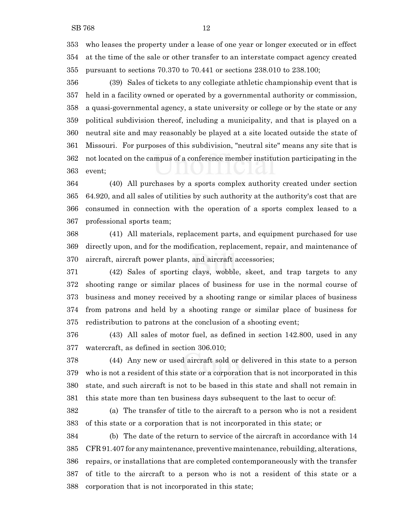who leases the property under a lease of one year or longer executed or in effect at the time of the sale or other transfer to an interstate compact agency created pursuant to sections 70.370 to 70.441 or sections 238.010 to 238.100;

 (39) Sales of tickets to any collegiate athletic championship event that is held in a facility owned or operated by a governmental authority or commission, a quasi-governmental agency, a state university or college or by the state or any political subdivision thereof, including a municipality, and that is played on a neutral site and may reasonably be played at a site located outside the state of Missouri. For purposes of this subdivision, "neutral site" means any site that is not located on the campus of a conference member institution participating in the event;

 (40) All purchases by a sports complex authority created under section 64.920, and all sales of utilities by such authority at the authority's cost that are consumed in connection with the operation of a sports complex leased to a professional sports team;

 (41) All materials, replacement parts, and equipment purchased for use directly upon, and for the modification, replacement, repair, and maintenance of aircraft, aircraft power plants, and aircraft accessories;

 (42) Sales of sporting clays, wobble, skeet, and trap targets to any shooting range or similar places of business for use in the normal course of business and money received by a shooting range or similar places of business from patrons and held by a shooting range or similar place of business for redistribution to patrons at the conclusion of a shooting event;

 (43) All sales of motor fuel, as defined in section 142.800, used in any watercraft, as defined in section 306.010;

 (44) Any new or used aircraft sold or delivered in this state to a person who is not a resident of this state or a corporation that is not incorporated in this state, and such aircraft is not to be based in this state and shall not remain in this state more than ten business days subsequent to the last to occur of:

 (a) The transfer of title to the aircraft to a person who is not a resident of this state or a corporation that is not incorporated in this state; or

 (b) The date of the return to service of the aircraft in accordance with 14 CFR 91.407 for any maintenance, preventivemaintenance, rebuilding, alterations, repairs, or installations that are completed contemporaneously with the transfer of title to the aircraft to a person who is not a resident of this state or a corporation that is not incorporated in this state;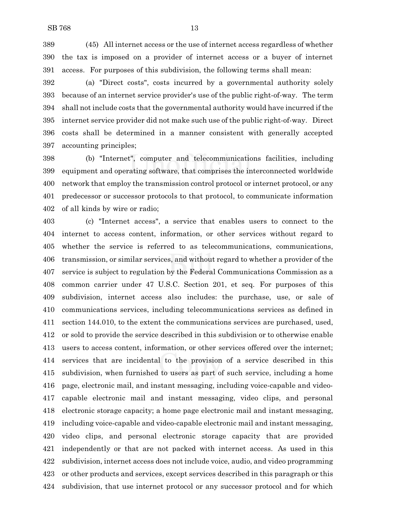(45) All internet access or the use of internet access regardless of whether the tax is imposed on a provider of internet access or a buyer of internet access. For purposes of this subdivision, the following terms shall mean:

 (a) "Direct costs", costs incurred by a governmental authority solely because of an internet service provider's use of the public right-of-way. The term shall not include costs that the governmental authority would have incurred if the internet service provider did not make such use of the public right-of-way. Direct costs shall be determined in a manner consistent with generally accepted accounting principles;

 (b) "Internet", computer and telecommunications facilities, including equipment and operating software, that comprises the interconnected worldwide network that employ the transmission control protocol or internet protocol, or any predecessor or successor protocols to that protocol, to communicate information of all kinds by wire or radio;

 (c) "Internet access", a service that enables users to connect to the internet to access content, information, or other services without regard to whether the service is referred to as telecommunications, communications, transmission, or similar services, and without regard to whether a provider of the service is subject to regulation by the Federal Communications Commission as a common carrier under 47 U.S.C. Section 201, et seq. For purposes of this subdivision, internet access also includes: the purchase, use, or sale of communications services, including telecommunications services as defined in section 144.010, to the extent the communications services are purchased, used, or sold to provide the service described in this subdivision or to otherwise enable users to access content, information, or other services offered over the internet; services that are incidental to the provision of a service described in this subdivision, when furnished to users as part of such service, including a home page, electronic mail, and instant messaging, including voice-capable and video- capable electronic mail and instant messaging, video clips, and personal electronic storage capacity; a home page electronic mail and instant messaging, including voice-capable and video-capable electronic mail and instant messaging, video clips, and personal electronic storage capacity that are provided independently or that are not packed with internet access. As used in this subdivision, internet access does not include voice, audio, and video programming or other products and services, except services described in this paragraph or this subdivision, that use internet protocol or any successor protocol and for which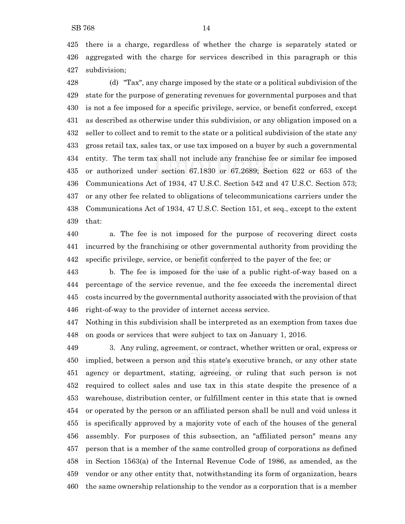(d) "Tax", any charge imposed by the state or a political subdivision of the state for the purpose of generating revenues for governmental purposes and that is not a fee imposed for a specific privilege, service, or benefit conferred, except as described as otherwise under this subdivision, or any obligation imposed on a seller to collect and to remit to the state or a political subdivision of the state any gross retail tax, sales tax, or use tax imposed on a buyer by such a governmental entity. The term tax shall not include any franchise fee or similar fee imposed or authorized under section 67.1830 or 67.2689; Section 622 or 653 of the Communications Act of 1934, 47 U.S.C. Section 542 and 47 U.S.C. Section 573; or any other fee related to obligations of telecommunications carriers under the Communications Act of 1934, 47 U.S.C. Section 151, et seq., except to the extent that:

 a. The fee is not imposed for the purpose of recovering direct costs incurred by the franchising or other governmental authority from providing the specific privilege, service, or benefit conferred to the payer of the fee; or

 b. The fee is imposed for the use of a public right-of-way based on a percentage of the service revenue, and the fee exceeds the incremental direct costs incurred by the governmental authority associated with the provision of that right-of-way to the provider of internet access service.

 Nothing in this subdivision shall be interpreted as an exemption from taxes due on goods or services that were subject to tax on January 1, 2016.

 3. Any ruling, agreement, or contract, whether written or oral, express or implied, between a person and this state's executive branch, or any other state agency or department, stating, agreeing, or ruling that such person is not required to collect sales and use tax in this state despite the presence of a warehouse, distribution center, or fulfillment center in this state that is owned or operated by the person or an affiliated person shall be null and void unless it is specifically approved by a majority vote of each of the houses of the general assembly. For purposes of this subsection, an "affiliated person" means any person that is a member of the same controlled group of corporations as defined in Section 1563(a) of the Internal Revenue Code of 1986, as amended, as the vendor or any other entity that, notwithstanding its form of organization, bears the same ownership relationship to the vendor as a corporation that is a member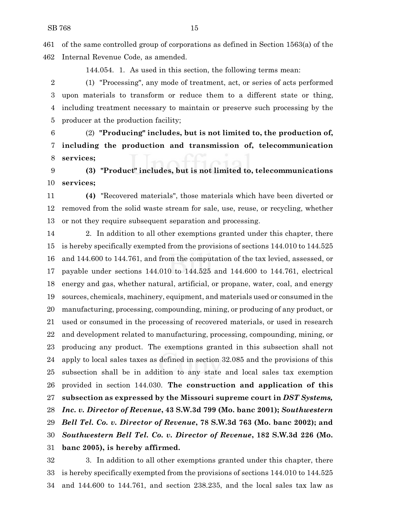of the same controlled group of corporations as defined in Section 1563(a) of the Internal Revenue Code, as amended.

144.054. 1. As used in this section, the following terms mean:

 (1) "Processing", any mode of treatment, act, or series of acts performed upon materials to transform or reduce them to a different state or thing, including treatment necessary to maintain or preserve such processing by the producer at the production facility;

 (2) **"Producing" includes, but is not limited to, the production of, including the production and transmission of, telecommunication services;**

 **(3) "Product" includes, but is not limited to, telecommunications services;**

 **(4)** "Recovered materials", those materials which have been diverted or removed from the solid waste stream for sale, use, reuse, or recycling, whether or not they require subsequent separation and processing.

 2. In addition to all other exemptions granted under this chapter, there is hereby specifically exempted from the provisions of sections 144.010 to 144.525 and 144.600 to 144.761, and from the computation of the tax levied, assessed, or payable under sections 144.010 to 144.525 and 144.600 to 144.761, electrical energy and gas, whether natural, artificial, or propane, water, coal, and energy sources, chemicals, machinery, equipment, and materials used or consumed in the manufacturing, processing, compounding, mining, or producing of any product, or used or consumed in the processing of recovered materials, or used in research and development related to manufacturing, processing, compounding, mining, or producing any product. The exemptions granted in this subsection shall not apply to local sales taxes as defined in section 32.085 and the provisions of this subsection shall be in addition to any state and local sales tax exemption provided in section 144.030. **The construction and application of this subsection as expressed by the Missouri supreme court in** *DST Systems, Inc. v. Director of Revenue***, 43 S.W.3d 799 (Mo. banc 2001);** *Southwestern Bell Tel. Co. v. Director of Revenue***, 78 S.W.3d 763 (Mo. banc 2002); and** *Southwestern Bell Tel. Co. v. Director of Revenue***, 182 S.W.3d 226 (Mo. banc 2005), is hereby affirmed.**

 3. In addition to all other exemptions granted under this chapter, there is hereby specifically exempted from the provisions of sections 144.010 to 144.525 and 144.600 to 144.761, and section 238.235, and the local sales tax law as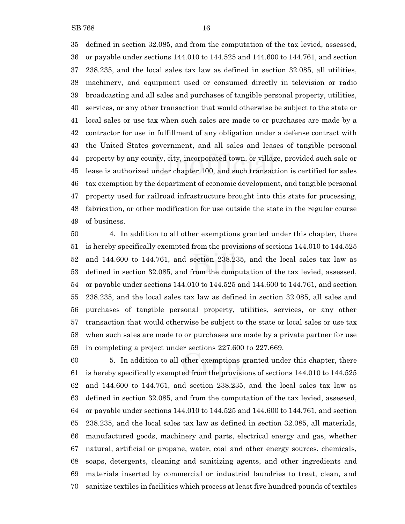defined in section 32.085, and from the computation of the tax levied, assessed, or payable under sections 144.010 to 144.525 and 144.600 to 144.761, and section 238.235, and the local sales tax law as defined in section 32.085, all utilities, machinery, and equipment used or consumed directly in television or radio broadcasting and all sales and purchases of tangible personal property, utilities, services, or any other transaction that would otherwise be subject to the state or local sales or use tax when such sales are made to or purchases are made by a contractor for use in fulfillment of any obligation under a defense contract with the United States government, and all sales and leases of tangible personal property by any county, city, incorporated town, or village, provided such sale or lease is authorized under chapter 100, and such transaction is certified for sales tax exemption by the department of economic development, and tangible personal property used for railroad infrastructure brought into this state for processing,

 fabrication, or other modification for use outside the state in the regular course of business.

 4. In addition to all other exemptions granted under this chapter, there is hereby specifically exempted from the provisions of sections 144.010 to 144.525 and 144.600 to 144.761, and section 238.235, and the local sales tax law as defined in section 32.085, and from the computation of the tax levied, assessed, or payable under sections 144.010 to 144.525 and 144.600 to 144.761, and section 238.235, and the local sales tax law as defined in section 32.085, all sales and purchases of tangible personal property, utilities, services, or any other transaction that would otherwise be subject to the state or local sales or use tax when such sales are made to or purchases are made by a private partner for use in completing a project under sections 227.600 to 227.669.

 5. In addition to all other exemptions granted under this chapter, there is hereby specifically exempted from the provisions of sections 144.010 to 144.525 and 144.600 to 144.761, and section 238.235, and the local sales tax law as defined in section 32.085, and from the computation of the tax levied, assessed, or payable under sections 144.010 to 144.525 and 144.600 to 144.761, and section 238.235, and the local sales tax law as defined in section 32.085, all materials, manufactured goods, machinery and parts, electrical energy and gas, whether natural, artificial or propane, water, coal and other energy sources, chemicals, soaps, detergents, cleaning and sanitizing agents, and other ingredients and materials inserted by commercial or industrial laundries to treat, clean, and sanitize textiles in facilities which process at least five hundred pounds of textiles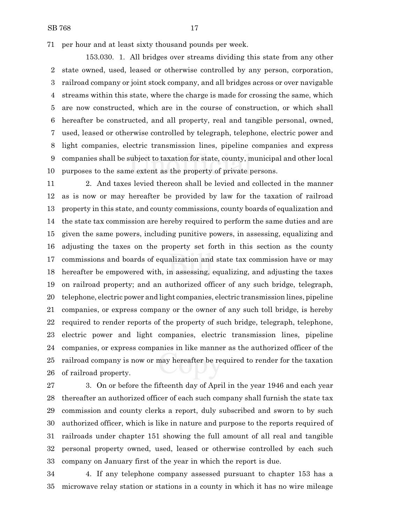per hour and at least sixty thousand pounds per week.

153.030. 1. All bridges over streams dividing this state from any other state owned, used, leased or otherwise controlled by any person, corporation, railroad company or joint stock company, and all bridges across or over navigable streams within this state, where the charge is made for crossing the same, which are now constructed, which are in the course of construction, or which shall hereafter be constructed, and all property, real and tangible personal, owned, used, leased or otherwise controlled by telegraph, telephone, electric power and light companies, electric transmission lines, pipeline companies and express companies shall be subject to taxation for state, county, municipal and other local purposes to the same extent as the property of private persons.

 2. And taxes levied thereon shall be levied and collected in the manner as is now or may hereafter be provided by law for the taxation of railroad property in this state, and county commissions, county boards of equalization and the state tax commission are hereby required to perform the same duties and are given the same powers, including punitive powers, in assessing, equalizing and adjusting the taxes on the property set forth in this section as the county commissions and boards of equalization and state tax commission have or may hereafter be empowered with, in assessing, equalizing, and adjusting the taxes on railroad property; and an authorized officer of any such bridge, telegraph, telephone, electric power and light companies, electric transmission lines, pipeline companies, or express company or the owner of any such toll bridge, is hereby required to render reports of the property of such bridge, telegraph, telephone, electric power and light companies, electric transmission lines, pipeline companies, or express companies in like manner as the authorized officer of the railroad company is now or may hereafter be required to render for the taxation of railroad property.

 3. On or before the fifteenth day of April in the year 1946 and each year thereafter an authorized officer of each such company shall furnish the state tax commission and county clerks a report, duly subscribed and sworn to by such authorized officer, which is like in nature and purpose to the reports required of railroads under chapter 151 showing the full amount of all real and tangible personal property owned, used, leased or otherwise controlled by each such company on January first of the year in which the report is due.

 4. If any telephone company assessed pursuant to chapter 153 has a microwave relay station or stations in a county in which it has no wire mileage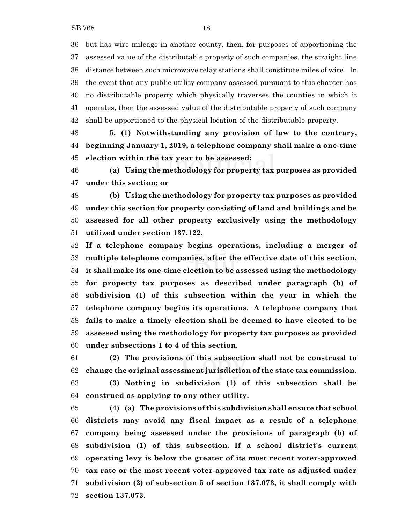but has wire mileage in another county, then, for purposes of apportioning the assessed value of the distributable property of such companies, the straight line distance between such microwave relay stations shall constitute miles of wire. In the event that any public utility company assessed pursuant to this chapter has no distributable property which physically traverses the counties in which it operates, then the assessed value of the distributable property of such company shall be apportioned to the physical location of the distributable property.

 **5. (1) Notwithstanding any provision of law to the contrary, beginning January 1, 2019, a telephone company shall make a one-time election within the tax year to be assessed:**

 **(a) Using the methodology for property tax purposes as provided under this section; or**

 **(b) Using the methodology for property tax purposes as provided under this section for property consisting of land and buildings and be assessed for all other property exclusively using the methodology utilized under section 137.122.**

 **If a telephone company begins operations, including a merger of multiple telephone companies, after the effective date of this section, it shall make its one-time election to be assessed using the methodology for property tax purposes as described under paragraph (b) of subdivision (1) of this subsection within the year in which the telephone company begins its operations. A telephone company that fails to make a timely election shall be deemed to have elected to be assessed using the methodology for property tax purposes as provided under subsections 1 to 4 of this section.**

 **(2) The provisions of this subsection shall not be construed to change the original assessment jurisdiction of the state tax commission. (3) Nothing in subdivision (1) of this subsection shall be construed as applying to any other utility.**

 **(4) (a) The provisions of this subdivision shall ensure that school districts may avoid any fiscal impact as a result of a telephone company being assessed under the provisions of paragraph (b) of subdivision (1) of this subsection. If a school district's current operating levy is below the greater of its most recent voter-approved tax rate or the most recent voter-approved tax rate as adjusted under subdivision (2) of subsection 5 of section 137.073, it shall comply with section 137.073.**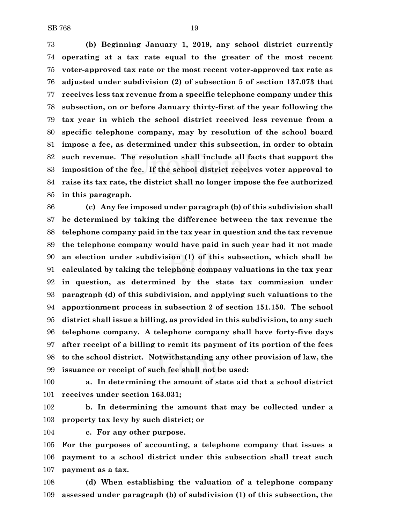**(b) Beginning January 1, 2019, any school district currently operating at a tax rate equal to the greater of the most recent voter-approved tax rate or the most recent voter-approved tax rate as adjusted under subdivision (2) of subsection 5 of section 137.073 that receives less tax revenue from a specific telephone company under this subsection, on or before January thirty-first of the year following the tax year in which the school district received less revenue from a specific telephone company, may by resolution of the school board impose a fee, as determined under this subsection, in order to obtain such revenue. The resolution shall include all facts that support the imposition of the fee. If the school district receives voter approval to raise its tax rate, the district shall no longer impose the fee authorized in this paragraph.**

 **(c) Any fee imposed under paragraph (b) of this subdivision shall be determined by taking the difference between the tax revenue the telephone company paid in the tax year in question and the tax revenue the telephone company would have paid in such year had it not made an election under subdivision (1) of this subsection, which shall be calculated by taking the telephone company valuations in the tax year in question, as determined by the state tax commission under paragraph (d) of this subdivision, and applying such valuations to the apportionment process in subsection 2 of section 151.150. The school district shall issue a billing, as provided in this subdivision, to any such telephone company. A telephone company shall have forty-five days after receipt of a billing to remit its payment of its portion of the fees to the school district. Notwithstanding any other provision of law, the issuance or receipt of such fee shall not be used:**

 **a. In determining the amount of state aid that a school district receives under section 163.031;**

 **b. In determining the amount that may be collected under a property tax levy by such district; or**

**c. For any other purpose.**

 **For the purposes of accounting, a telephone company that issues a payment to a school district under this subsection shall treat such payment as a tax.**

 **(d) When establishing the valuation of a telephone company assessed under paragraph (b) of subdivision (1) of this subsection, the**